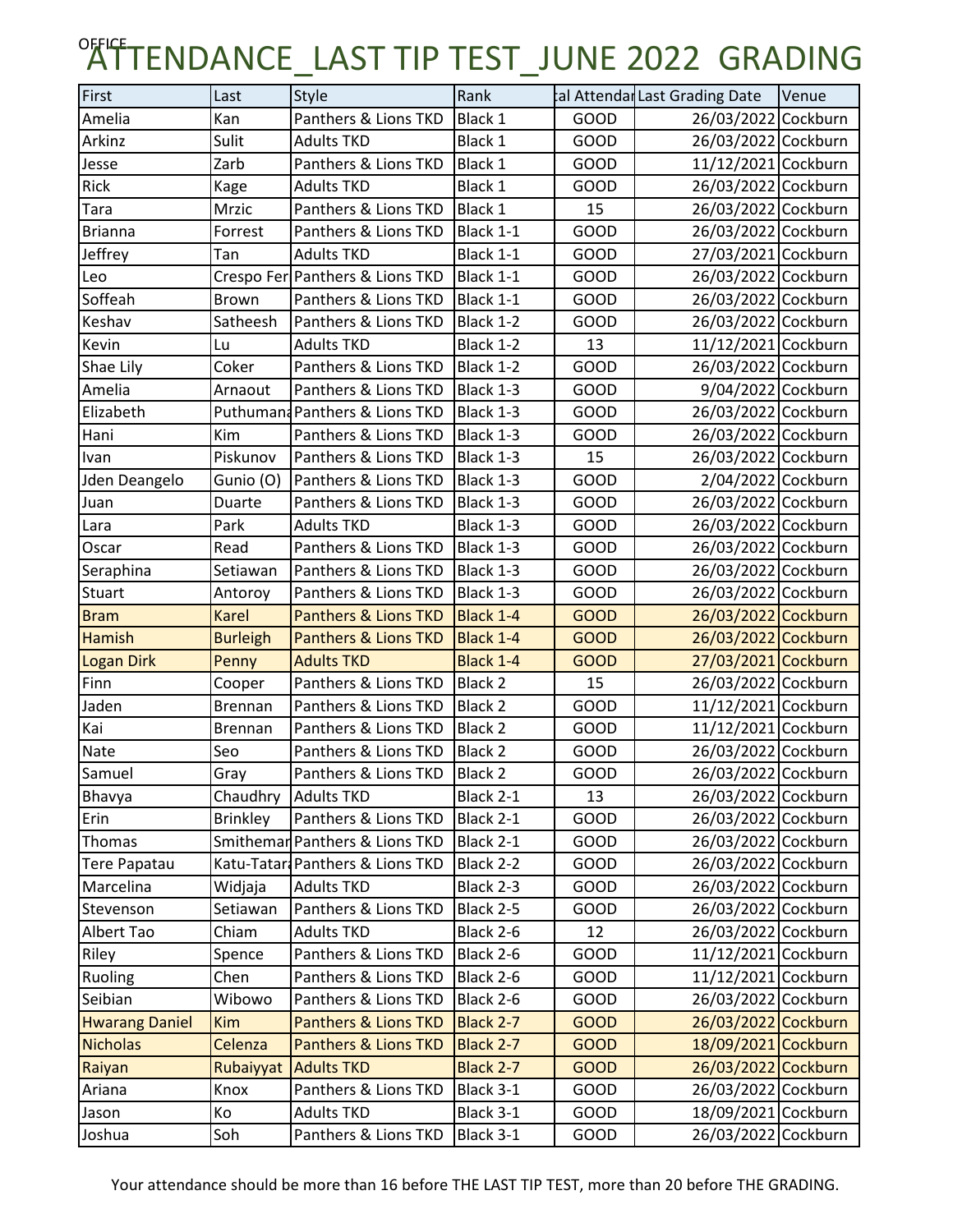## OFFICTENDANCE\_LAST TIP TEST\_JUNE 2022 GRADING

| First                 | Last            | <b>Style</b>                     | Rank           |             | tal Attendar Last Grading Date | Venue |
|-----------------------|-----------------|----------------------------------|----------------|-------------|--------------------------------|-------|
| Amelia                | Kan             | Panthers & Lions TKD             | Black 1        | GOOD        | 26/03/2022 Cockburn            |       |
| Arkinz                | Sulit           | <b>Adults TKD</b>                | Black 1        | GOOD        | 26/03/2022 Cockburn            |       |
| Jesse                 | Zarb            | Panthers & Lions TKD             | Black 1        | <b>GOOD</b> | 11/12/2021 Cockburn            |       |
| Rick                  | Kage            | <b>Adults TKD</b>                | Black 1        | GOOD        | 26/03/2022 Cockburn            |       |
| Tara                  | Mrzic           | Panthers & Lions TKD             | Black 1        | 15          | 26/03/2022 Cockburn            |       |
| <b>Brianna</b>        | Forrest         | Panthers & Lions TKD             | Black 1-1      | GOOD        | 26/03/2022 Cockburn            |       |
| Jeffrey               | Tan             | <b>Adults TKD</b>                | Black 1-1      | GOOD        | 27/03/2021 Cockburn            |       |
| Leo                   |                 | Crespo Fer Panthers & Lions TKD  | Black 1-1      | GOOD        | 26/03/2022 Cockburn            |       |
| Soffeah               | <b>Brown</b>    | Panthers & Lions TKD             | Black 1-1      | GOOD        | 26/03/2022 Cockburn            |       |
| Keshav                | Satheesh        | Panthers & Lions TKD             | Black 1-2      | GOOD        | 26/03/2022 Cockburn            |       |
| Kevin                 | Lu              | <b>Adults TKD</b>                | Black 1-2      | 13          | 11/12/2021 Cockburn            |       |
| Shae Lily             | Coker           | Panthers & Lions TKD             | Black 1-2      | GOOD        | 26/03/2022 Cockburn            |       |
| Amelia                | Arnaout         | Panthers & Lions TKD             | Black 1-3      | GOOD        | 9/04/2022 Cockburn             |       |
| Elizabeth             |                 | Puthumand Panthers & Lions TKD   | Black 1-3      | <b>GOOD</b> | 26/03/2022 Cockburn            |       |
| Hani                  | Kim             | Panthers & Lions TKD             | Black 1-3      | GOOD        | 26/03/2022 Cockburn            |       |
| Ivan                  | Piskunov        | Panthers & Lions TKD             | Black 1-3      | 15          | 26/03/2022 Cockburn            |       |
| Jden Deangelo         | Gunio (O)       | Panthers & Lions TKD             | Black 1-3      | GOOD        | 2/04/2022 Cockburn             |       |
| Juan                  | Duarte          | Panthers & Lions TKD             | Black 1-3      | <b>GOOD</b> | 26/03/2022 Cockburn            |       |
| Lara                  | Park            | <b>Adults TKD</b>                | Black 1-3      | GOOD        | 26/03/2022 Cockburn            |       |
| Oscar                 | Read            | Panthers & Lions TKD             | Black 1-3      | GOOD        | 26/03/2022 Cockburn            |       |
| Seraphina             | Setiawan        | Panthers & Lions TKD             | Black 1-3      | GOOD        | 26/03/2022 Cockburn            |       |
| Stuart                | Antoroy         | Panthers & Lions TKD             | Black 1-3      | GOOD        | 26/03/2022 Cockburn            |       |
| <b>Bram</b>           | Karel           | <b>Panthers &amp; Lions TKD</b>  | Black 1-4      | <b>GOOD</b> | 26/03/2022 Cockburn            |       |
| <b>Hamish</b>         | <b>Burleigh</b> | Panthers & Lions TKD             | Black 1-4      | <b>GOOD</b> | 26/03/2022 Cockburn            |       |
| <b>Logan Dirk</b>     | Penny           | <b>Adults TKD</b>                | Black 1-4      | <b>GOOD</b> | 27/03/2021 Cockburn            |       |
| Finn                  | Cooper          | Panthers & Lions TKD             | Black 2        | 15          | 26/03/2022 Cockburn            |       |
| Jaden                 | Brennan         | Panthers & Lions TKD             | Black 2        | GOOD        | 11/12/2021 Cockburn            |       |
| Kai                   | <b>Brennan</b>  | Panthers & Lions TKD             | Black 2        | GOOD        | 11/12/2021 Cockburn            |       |
| Nate                  | Seo             | Panthers & Lions TKD             | Black 2        | GOOD        | 26/03/2022 Cockburn            |       |
| Samuel                | Gray            | Panthers & Lions TKD             | <b>Black 2</b> | GOOD        | 26/03/2022 Cockburn            |       |
| Bhavya                |                 | Chaudhry Adults TKD              | Black 2-1      | 13          | 26/03/2022 Cockburn            |       |
| Erin                  | <b>Brinkley</b> | Panthers & Lions TKD             | Black 2-1      | GOOD        | 26/03/2022 Cockburn            |       |
| Thomas                |                 | Smithemar Panthers & Lions TKD   | Black 2-1      | GOOD        | 26/03/2022 Cockburn            |       |
| <b>Tere Papatau</b>   |                 | Katu-Tatar: Panthers & Lions TKD | Black 2-2      | GOOD        | 26/03/2022 Cockburn            |       |
| Marcelina             | Widjaja         | <b>Adults TKD</b>                | Black 2-3      | GOOD        | 26/03/2022 Cockburn            |       |
| Stevenson             | Setiawan        | Panthers & Lions TKD             | Black 2-5      | GOOD        | 26/03/2022 Cockburn            |       |
| Albert Tao            | Chiam           | <b>Adults TKD</b>                | Black 2-6      | 12          | 26/03/2022 Cockburn            |       |
| Riley                 | Spence          | Panthers & Lions TKD             | Black 2-6      | GOOD        | 11/12/2021 Cockburn            |       |
| Ruoling               | Chen            | Panthers & Lions TKD             | Black 2-6      | GOOD        | 11/12/2021 Cockburn            |       |
| Seibian               | Wibowo          | Panthers & Lions TKD             | Black 2-6      | GOOD        | 26/03/2022 Cockburn            |       |
| <b>Hwarang Daniel</b> | <b>Kim</b>      | <b>Panthers &amp; Lions TKD</b>  | Black 2-7      | <b>GOOD</b> | 26/03/2022 Cockburn            |       |
| <b>Nicholas</b>       | Celenza         | <b>Panthers &amp; Lions TKD</b>  | Black 2-7      | <b>GOOD</b> | 18/09/2021 Cockburn            |       |
| Raiyan                | Rubaiyyat       | <b>Adults TKD</b>                | Black 2-7      | <b>GOOD</b> | 26/03/2022 Cockburn            |       |
| Ariana                | Knox            | Panthers & Lions TKD             | Black 3-1      | GOOD        | 26/03/2022 Cockburn            |       |
| Jason                 | Кo              | <b>Adults TKD</b>                | Black 3-1      | GOOD        | 18/09/2021 Cockburn            |       |
| Joshua                | Soh             | Panthers & Lions TKD             | Black 3-1      | GOOD        | 26/03/2022 Cockburn            |       |

Your attendance should be more than 16 before THE LAST TIP TEST, more than 20 before THE GRADING.